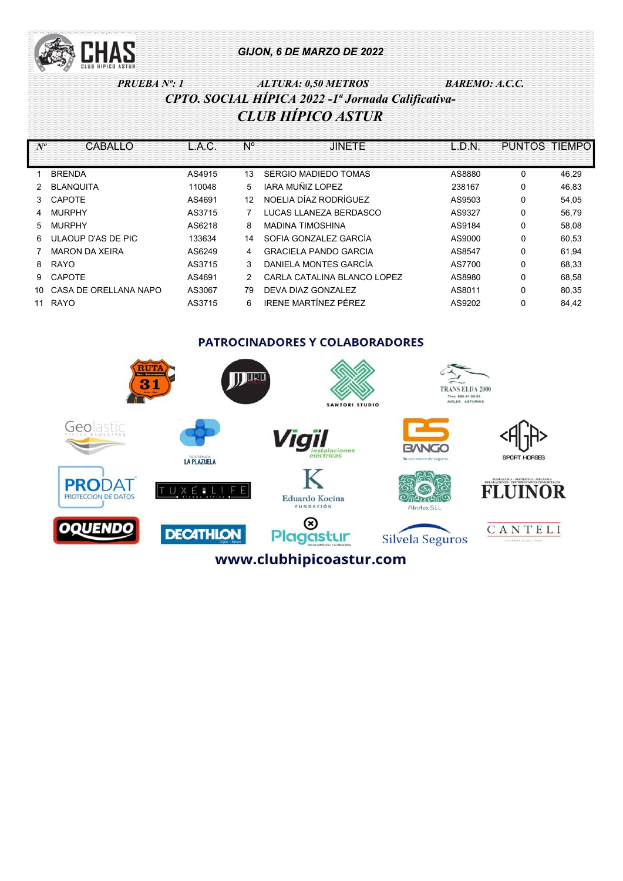

### PRUEBA Nº: 1  $ALTURA: 0,50 METROS$  BAREMO: A.C.C. CPTO. SOCIAL HÍPICA 2022 -1ª Jornada Calificativa-CLUB HÍPICO ASTUR

| $N^o$         | CABALLO               | L.A.C. | N° | <b>JINETE</b>                | L.D.N. | PUNTOS TIEMPO |       |
|---------------|-----------------------|--------|----|------------------------------|--------|---------------|-------|
|               | <b>BRENDA</b>         | AS4915 | 13 | SERGIO MADIEDO TOMAS         | AS8880 | 0             | 46,29 |
|               | <b>BLANQUITA</b>      | 110048 | 5  | IARA MUÑIZ LOPEZ             | 238167 | 0             | 46,83 |
| $\mathcal{S}$ | <b>CAPOTE</b>         | AS4691 | 12 | NOELIA DÍAZ RODRÍGUEZ        | AS9503 | 0             | 54,05 |
| 4             | <b>MURPHY</b>         | AS3715 |    | LUCAS LLANEZA BERDASCO       | AS9327 | 0             | 56,79 |
| 5.            | <b>MURPHY</b>         | AS6218 | 8  | <b>MADINA TIMOSHINA</b>      | AS9184 | 0             | 58,08 |
| 6             | ULAOUP D'AS DE PIC    | 133634 | 14 | SOFIA GONZALEZ GARCÍA        | AS9000 | 0             | 60,53 |
|               | <b>MARON DA XEIRA</b> | AS6249 | 4  | <b>GRACIELA PANDO GARCIA</b> | AS8547 | 0             | 61,94 |
| 8             | <b>RAYO</b>           | AS3715 | 3  | DANIFI A MONTES GARCÍA       | AS7700 | 0             | 68,33 |
| 9             | <b>CAPOTE</b>         | AS4691 | 2  | CARLA CATALINA BLANCO LOPEZ  | AS8980 | 0             | 68,58 |
| 10.           | CASA DE ORELLANA NAPO | AS3067 | 79 | DEVA DIAZ GONZALEZ           | AS8011 | $\Omega$      | 80,35 |
| 11            | <b>RAYO</b>           | AS3715 | 6  | IRENE MARTÍNEZ PÉREZ         | AS9202 | 0             | 84.42 |

**PATROCINADORES Y COLABORADORES** 

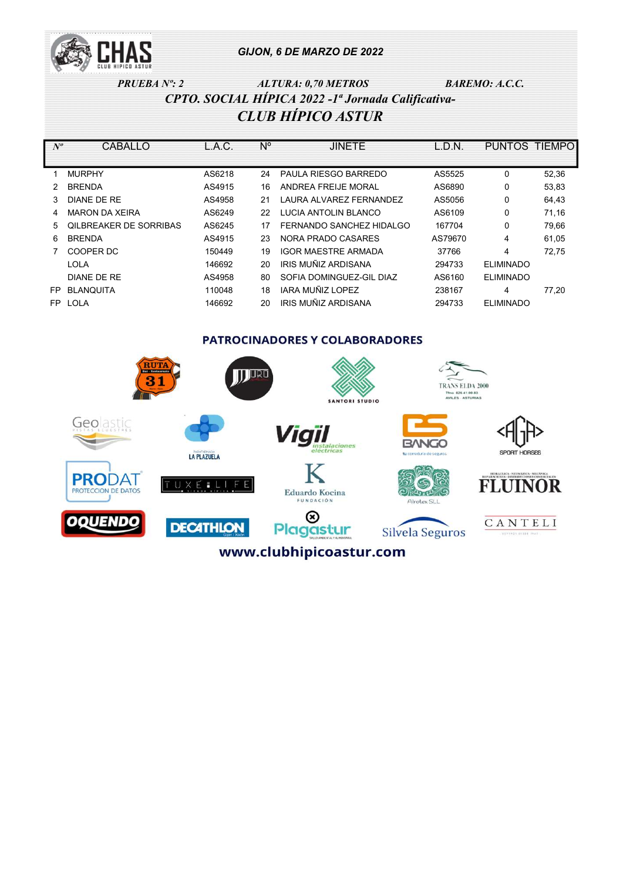

PRUEBA Nº: 2  $ALTURA: 0,70 METROS$  BAREMO: A.C.C. CPTO. SOCIAL HÍPICA 2022 -1ª Jornada Calificativa-CLUB HÍPICO ASTUR

| $N^o$ | CABALLO                       | L.A.C. | N° | <b>JINETE</b>               | L.D.N.  | PUNTOS TIEMPO    |       |
|-------|-------------------------------|--------|----|-----------------------------|---------|------------------|-------|
|       |                               |        |    |                             |         |                  |       |
|       | <b>MURPHY</b>                 | AS6218 | 24 | <b>PAULA RIESGO BARREDO</b> | AS5525  | 0                | 52,36 |
|       | <b>BRENDA</b>                 | AS4915 | 16 | ANDREA FREIJE MORAL         | AS6890  | 0                | 53.83 |
| 3     | DIANE DE RE                   | AS4958 | 21 | LAURA ALVAREZ FERNANDEZ     | AS5056  | 0                | 64,43 |
| 4     | <b>MARON DA XEIRA</b>         | AS6249 | 22 | LUCIA ANTOLIN BLANCO        | AS6109  | 0                | 71,16 |
| 5.    | <b>QILBREAKER DE SORRIBAS</b> | AS6245 | 17 | FERNANDO SANCHEZ HIDALGO    | 167704  | 0                | 79,66 |
| 6     | <b>BRENDA</b>                 | AS4915 | 23 | NORA PRADO CASARES          | AS79670 | 4                | 61,05 |
|       | COOPER DC                     | 150449 | 19 | <b>IGOR MAESTRE ARMADA</b>  | 37766   | 4                | 72.75 |
|       | LOLA                          | 146692 | 20 | IRIS MUÑIZ ARDISANA         | 294733  | <b>ELIMINADO</b> |       |
|       | DIANE DE RE                   | AS4958 | 80 | SOFIA DOMINGUEZ-GIL DIAZ    | AS6160  | <b>ELIMINADO</b> |       |
| FP.   | <b>BLANQUITA</b>              | 110048 | 18 | IARA MUÑIZ LOPEZ            | 238167  | 4                | 77.20 |
| FP.   | <b>LOLA</b>                   | 146692 | 20 | IRIS MUÑIZ ARDISANA         | 294733  | <b>ELIMINADO</b> |       |

**PATROCINADORES Y COLABORADORES IT URD TRANS ELDA 2000** THE 625-41-00-83<br>WILES - ASTURIAS SANTORI STUDIO Geolastic Vigil **BANGO** SPORT HORSES LA PLAZUELA **PRODAT FLUINOR** E. F  $\times$ **ROTECCION DE DATOS** Eduardo Kocina 17 x cl **FUNDACIÓN** Alrotex SLL  $^{\circledR}$ DOUEND CANTELI **DECATHLON** Plagastur Silvela Seguros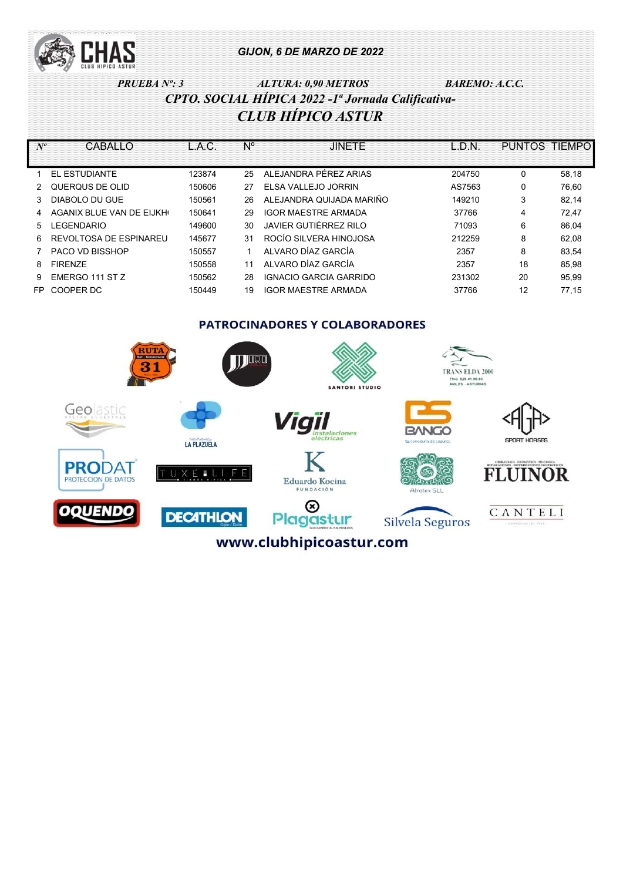

### PRUEBA Nº: 3 ALTURA: 0,90 METROS BAREMO: A.C.C. CPTO. SOCIAL HÍPICA 2022 -1ª Jornada Calificativa-CLUB HÍPICO ASTUR

| $N^o$ | CABALLO                  | L.A.C. | N° | <b>JINETE</b>              | L.D.N. | <b>PUNTOS</b> | <b>TIEMPO</b> |
|-------|--------------------------|--------|----|----------------------------|--------|---------------|---------------|
|       |                          |        |    |                            |        |               |               |
|       | EL ESTUDIANTE            | 123874 | 25 | ALEJANDRA PÉREZ ARIAS      | 204750 | 0             | 58,18         |
|       | QUERQUS DE OLID          | 150606 | 27 | ELSA VALLEJO JORRIN        | AS7563 | 0             | 76,60         |
|       | DIABOLO DU GUE           | 150561 | 26 | ALEJANDRA QUIJADA MARIÑO   | 149210 | 3             | 82,14         |
|       | AGANIX BLUE VAN DE EIJKH | 150641 | 29 | <b>IGOR MAESTRE ARMADA</b> | 37766  | 4             | 72,47         |
| 5.    | <b>LEGENDARIO</b>        | 149600 | 30 | JAVIER GUTIÉRREZ RILO      | 71093  | 6             | 86,04         |
| 6     | REVOLTOSA DE ESPINAREU   | 145677 | 31 | ROCÍO SILVERA HINOJOSA     | 212259 | 8             | 62,08         |
|       | <b>PACO VD BISSHOP</b>   | 150557 |    | ALVARO DÍAZ GARCÍA         | 2357   | 8             | 83,54         |
| 8     | <b>FIRENZE</b>           | 150558 | 11 | ALVARO DÍAZ GARCÍA         | 2357   | 18            | 85,98         |
| 9     | EMERGO 111 ST Z          | 150562 | 28 | IGNACIO GARCIA GARRIDO     | 231302 | 20            | 95,99         |
| FP.   | COOPER DC                | 150449 | 19 | <b>IGOR MAESTRE ARMADA</b> | 37766  | 12            | 77.15         |

**PATROCINADORES Y COLABORADORES** 

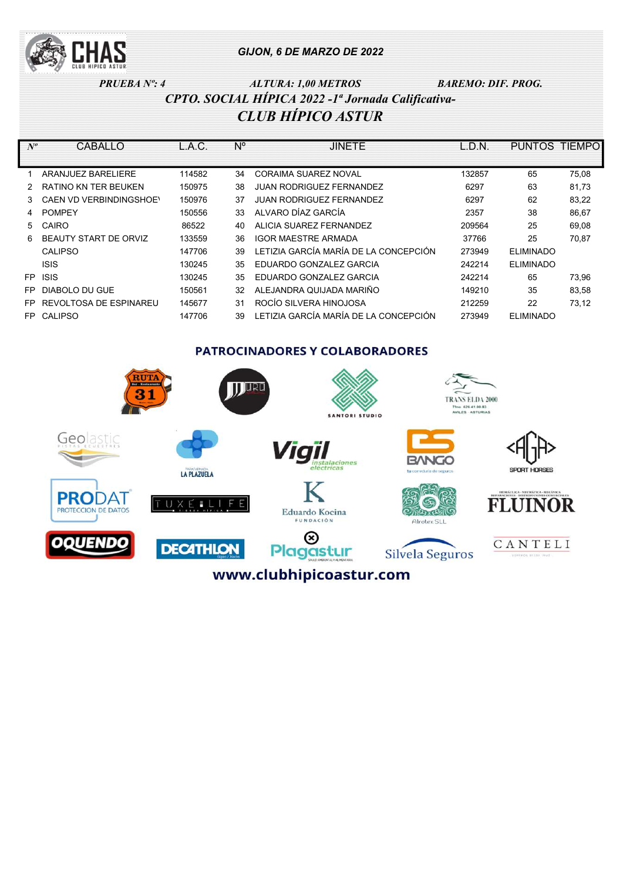

# PRUEBA Nº: 4 ALTURA: 1,00 METROS BAREMO: DIF. PROG. CPTO. SOCIAL HÍPICA 2022 -1ª Jornada Calificativa-CLUB HÍPICO ASTUR

| $N^o$ | CABALLO                      | L.A.C. | $N^{\circ}$ | <b>JINETE</b>                         | $\overline{L.D.N}$ | PUNTOS TIEMPO    |       |
|-------|------------------------------|--------|-------------|---------------------------------------|--------------------|------------------|-------|
|       |                              |        |             |                                       |                    |                  |       |
|       | ARANJUEZ BARELIERE           | 114582 | 34          | CORAIMA SUAREZ NOVAL                  | 132857             | 65               | 75,08 |
|       | RATINO KN TER BEUKEN         | 150975 | 38          | <b>JUAN RODRIGUEZ FERNANDEZ</b>       | 6297               | 63               | 81,73 |
| 3     | CAEN VD VERBINDINGSHOE\      | 150976 | 37          | <b>JUAN RODRIGUEZ FERNANDEZ</b>       | 6297               | 62               | 83.22 |
| 4     | <b>POMPEY</b>                | 150556 | 33          | ALVARO DÍAZ GARCÍA                    | 2357               | 38               | 86,67 |
| 5     | CAIRO                        | 86522  | 40          | ALICIA SUAREZ FERNANDEZ               | 209564             | 25               | 69,08 |
| 6     | <b>BEAUTY START DE ORVIZ</b> | 133559 | 36          | <b>IGOR MAESTRE ARMADA</b>            | 37766              | 25               | 70,87 |
|       | <b>CALIPSO</b>               | 147706 | 39          | LETIZIA GARCÍA MARÍA DE LA CONCEPCIÓN | 273949             | <b>ELIMINADO</b> |       |
|       | <b>ISIS</b>                  | 130245 | 35          | <b>FDUARDO GONZALEZ GARCIA</b>        | 242214             | <b>ELIMINADO</b> |       |
| FP.   | <b>ISIS</b>                  | 130245 | 35          | EDUARDO GONZALEZ GARCIA               | 242214             | 65               | 73.96 |
| FP    | DIABOLO DU GUE               | 150561 | 32          | ALEJANDRA QUIJADA MARIÑO              | 149210             | 35               | 83,58 |
| FP    | REVOLTOSA DE ESPINAREU       | 145677 | 31          | ROCÍO SILVERA HINOJOSA                | 212259             | 22               | 73,12 |
| FP.   | <b>CALIPSO</b>               | 147706 | 39          | LETIZIA GARCÍA MARÍA DE LA CONCEPCIÓN | 273949             | <b>ELIMINADO</b> |       |

**PATROCINADORES Y COLABORADORES** 

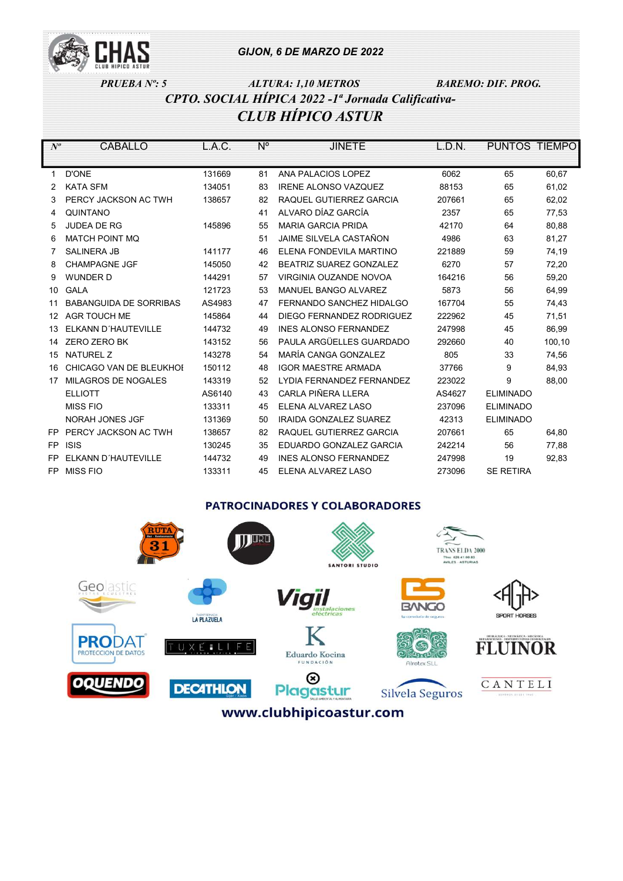

# PRUEBA Nº: 5 ALTURA: 1,10 METROS BAREMO: DIF. PROG. CPTO. SOCIAL HÍPICA 2022 -1ª Jornada Calificativa-CLUB HÍPICO ASTUR

| $N^o$ | CABALLO                       | L.A.C. | $N^{\circ}$ | <b>JINETE</b>                 | L.D.N. | PUNTOS TIEMPO    |        |
|-------|-------------------------------|--------|-------------|-------------------------------|--------|------------------|--------|
|       |                               |        |             |                               |        |                  |        |
| 1     | <b>D'ONE</b>                  | 131669 | 81          | ANA PALACIOS LOPEZ            | 6062   | 65               | 60,67  |
| 2     | <b>KATA SFM</b>               | 134051 | 83          | <b>IRENE ALONSO VAZQUEZ</b>   | 88153  | 65               | 61,02  |
| 3     | PERCY JACKSON AC TWH          | 138657 | 82          | RAQUEL GUTIERREZ GARCIA       | 207661 | 65               | 62,02  |
| 4     | QUINTANO                      |        | 41          | ALVARO DÍAZ GARCÍA            | 2357   | 65               | 77,53  |
| 5     | <b>JUDEA DE RG</b>            | 145896 | 55          | <b>MARIA GARCIA PRIDA</b>     | 42170  | 64               | 80,88  |
| 6     | <b>MATCH POINT MO</b>         |        | 51          | JAIME SILVELA CASTAÑON        | 4986   | 63               | 81,27  |
| 7     | <b>SALINERA JB</b>            | 141177 | 46          | ELENA FONDEVILA MARTINO       | 221889 | 59               | 74,19  |
| 8     | <b>CHAMPAGNE JGF</b>          | 145050 | 42          | BEATRIZ SUAREZ GONZALEZ       | 6270   | 57               | 72,20  |
| 9     | <b>WUNDER D</b>               | 144291 | 57          | VIRGINIA OUZANDE NOVOA        | 164216 | 56               | 59,20  |
| 10    | <b>GALA</b>                   | 121723 | 53          | MANUEL BANGO ALVAREZ          | 5873   | 56               | 64,99  |
| 11    | <b>BABANGUIDA DE SORRIBAS</b> | AS4983 | 47          | FERNANDO SANCHEZ HIDALGO      | 167704 | 55               | 74,43  |
| 12    | <b>AGR TOUCH ME</b>           | 145864 | 44          | DIEGO FERNANDEZ RODRIGUEZ     | 222962 | 45               | 71,51  |
| 13    | ELKANN D'HAUTEVILLE           | 144732 | 49          | <b>INES ALONSO FERNANDEZ</b>  | 247998 | 45               | 86,99  |
| 14    | ZERO ZERO BK                  | 143152 | 56          | PAULA ARGÜELLES GUARDADO      | 292660 | 40               | 100,10 |
| 15    | <b>NATUREL Z</b>              | 143278 | 54          | MARÍA CANGA GONZALEZ          | 805    | 33               | 74,56  |
| 16    | CHICAGO VAN DE BLEUKHOI       | 150112 | 48          | <b>IGOR MAESTRE ARMADA</b>    | 37766  | 9                | 84,93  |
| 17    | MILAGROS DE NOGALES           | 143319 | 52          | LYDIA FERNANDEZ FERNANDEZ     | 223022 | 9                | 88,00  |
|       | <b>ELLIOTT</b>                | AS6140 | 43          | CARLA PIÑERA LLERA            | AS4627 | <b>ELIMINADO</b> |        |
|       | <b>MISS FIO</b>               | 133311 | 45          | ELENA ALVAREZ LASO            | 237096 | <b>ELIMINADO</b> |        |
|       | <b>NORAH JONES JGF</b>        | 131369 | 50          | <b>IRAIDA GONZALEZ SUAREZ</b> | 42313  | <b>ELIMINADO</b> |        |
| FP.   | PERCY JACKSON AC TWH          | 138657 | 82          | RAQUEL GUTIERREZ GARCIA       | 207661 | 65               | 64,80  |
| FP.   | <b>ISIS</b>                   | 130245 | 35          | EDUARDO GONZALEZ GARCIA       | 242214 | 56               | 77,88  |
| FP    | ELKANN D'HAUTEVILLE           | 144732 | 49          | <b>INES ALONSO FERNANDEZ</b>  | 247998 | 19               | 92,83  |
| FP.   | <b>MISS FIO</b>               | 133311 | 45          | ELENA ALVAREZ LASO            | 273096 | <b>SE RETIRA</b> |        |

#### **PATROCINADORES Y COLABORADORES**

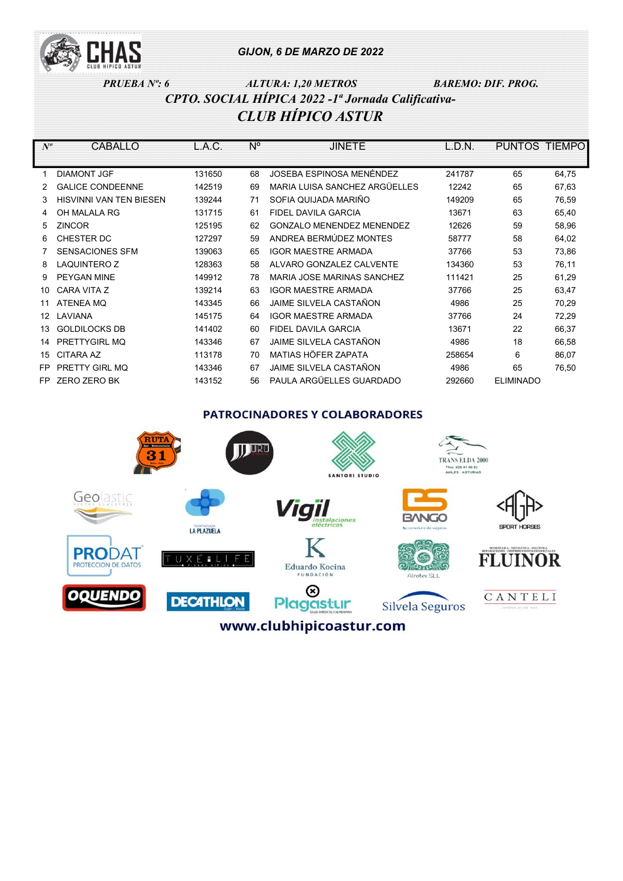

## PRUEBA Nº: 6 ALTURA: 1,20 METROS BAREMO: DIF. PROG. CPTO. SOCIAL HÍPICA 2022 -1ª Jornada Calificativa-CLUB HÍPICO ASTUR

| $N^o$ | CABALLO                        | L.A.C. | $N^{\circ}$ | JINETE                           | L.D.N. | PUNTOS TIEMPO    |       |
|-------|--------------------------------|--------|-------------|----------------------------------|--------|------------------|-------|
|       |                                |        |             |                                  |        |                  |       |
|       | <b>DIAMONT JGF</b>             | 131650 | 68          | JOSEBA ESPINOSA MENÉNDEZ         | 241787 | 65               | 64,75 |
|       | <b>GALICE CONDEENNE</b>        | 142519 | 69          | MARIA LUISA SANCHEZ ARGÜELLES    | 12242  | 65               | 67,63 |
| 3     | <b>HISVINNI VAN TEN BIESEN</b> | 139244 | 71          | SOFIA QUIJADA MARIÑO             | 149209 | 65               | 76,59 |
| 4     | OH MALALA RG                   | 131715 | 61          | FIDEL DAVILA GARCIA              | 13671  | 63               | 65,40 |
| 5     | <b>ZINCOR</b>                  | 125195 | 62          | <b>GONZALO MENENDEZ MENENDEZ</b> | 12626  | 59               | 58,96 |
| 6     | CHESTER DC                     | 127297 | 59          | ANDREA BERMÚDEZ MONTES           | 58777  | 58               | 64,02 |
|       | <b>SENSACIONES SFM</b>         | 139063 | 65          | <b>IGOR MAESTRE ARMADA</b>       | 37766  | 53               | 73,86 |
| 8     | <b>LAQUINTERO Z</b>            | 128363 | 58          | ALVARO GONZALEZ CALVENTE         | 134360 | 53               | 76,11 |
| 9     | PEYGAN MINE                    | 149912 | 78          | MARIA JOSE MARINAS SANCHEZ       | 111421 | 25               | 61,29 |
| 10    | CARA VITA Z                    | 139214 | 63          | <b>IGOR MAESTRE ARMADA</b>       | 37766  | 25               | 63,47 |
| 11    | <b>ATENEA MQ</b>               | 143345 | 66          | JAIME SILVELA CASTAÑON           | 4986   | 25               | 70,29 |
| 12.   | LAVIANA                        | 145175 | 64          | <b>IGOR MAESTRE ARMADA</b>       | 37766  | 24               | 72,29 |
| 13    | <b>GOLDILOCKS DB</b>           | 141402 | 60          | FIDEL DAVILA GARCIA              | 13671  | 22               | 66,37 |
| 14    | PRETTYGIRL MQ                  | 143346 | 67          | JAIME SILVELA CASTAÑON           | 4986   | 18               | 66,58 |
| 15    | <b>CITARA AZ</b>               | 113178 | 70          | MATIAS HÖFER ZAPATA              | 258654 | 6                | 86,07 |
| FP    | PRETTY GIRL MQ                 | 143346 | 67          | JAIME SILVELA CASTAÑON           | 4986   | 65               | 76,50 |
| FP    | ZERO ZERO BK                   | 143152 | 56          | PAULA ARGÜELLES GUARDADO         | 292660 | <b>ELIMINADO</b> |       |

**PATROCINADORES Y COLABORADORES**